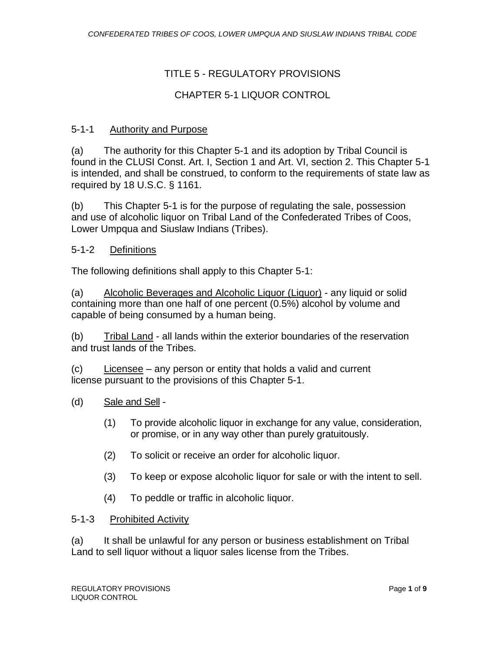# TITLE 5 - REGULATORY PROVISIONS

# CHAPTER 5-1 LIQUOR CONTROL

### 5-1-1 Authority and Purpose

(a) The authority for this Chapter 5-1 and its adoption by Tribal Council is found in the CLUSI Const. Art. I, Section 1 and Art. VI, section 2. This Chapter 5-1 is intended, and shall be construed, to conform to the requirements of state law as required by 18 U.S.C. § 1161.

(b) This Chapter 5-1 is for the purpose of regulating the sale, possession and use of alcoholic liquor on Tribal Land of the Confederated Tribes of Coos, Lower Umpqua and Siuslaw Indians (Tribes).

### 5-1-2 Definitions

The following definitions shall apply to this Chapter 5-1:

(a) Alcoholic Beverages and Alcoholic Liquor (Liquor) - any liquid or solid containing more than one half of one percent (0.5%) alcohol by volume and capable of being consumed by a human being.

(b) Tribal Land - all lands within the exterior boundaries of the reservation and trust lands of the Tribes.

(c) Licensee – any person or entity that holds a valid and current license pursuant to the provisions of this Chapter 5-1.

- (d) Sale and Sell
	- (1) To provide alcoholic liquor in exchange for any value, consideration, or promise, or in any way other than purely gratuitously.
	- (2) To solicit or receive an order for alcoholic liquor.
	- (3) To keep or expose alcoholic liquor for sale or with the intent to sell.
	- (4) To peddle or traffic in alcoholic liquor.

### 5-1-3 Prohibited Activity

(a) It shall be unlawful for any person or business establishment on Tribal Land to sell liquor without a liquor sales license from the Tribes.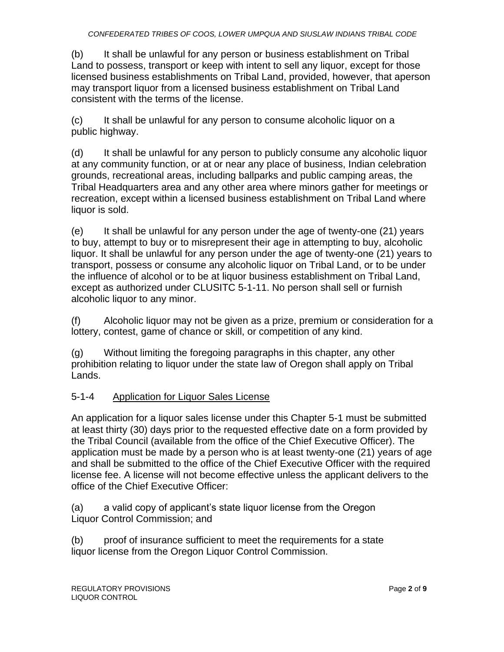(b) It shall be unlawful for any person or business establishment on Tribal Land to possess, transport or keep with intent to sell any liquor, except for those licensed business establishments on Tribal Land, provided, however, that aperson may transport liquor from a licensed business establishment on Tribal Land consistent with the terms of the license.

(c) It shall be unlawful for any person to consume alcoholic liquor on a public highway.

(d) It shall be unlawful for any person to publicly consume any alcoholic liquor at any community function, or at or near any place of business, Indian celebration grounds, recreational areas, including ballparks and public camping areas, the Tribal Headquarters area and any other area where minors gather for meetings or recreation, except within a licensed business establishment on Tribal Land where liquor is sold.

(e) It shall be unlawful for any person under the age of twenty-one (21) years to buy, attempt to buy or to misrepresent their age in attempting to buy, alcoholic liquor. It shall be unlawful for any person under the age of twenty-one (21) years to transport, possess or consume any alcoholic liquor on Tribal Land, or to be under the influence of alcohol or to be at liquor business establishment on Tribal Land, except as authorized under CLUSITC 5-1-11. No person shall sell or furnish alcoholic liquor to any minor.

(f) Alcoholic liquor may not be given as a prize, premium or consideration for a lottery, contest, game of chance or skill, or competition of any kind.

(g) Without limiting the foregoing paragraphs in this chapter, any other prohibition relating to liquor under the state law of Oregon shall apply on Tribal Lands.

# 5-1-4 Application for Liquor Sales License

An application for a liquor sales license under this Chapter 5-1 must be submitted at least thirty (30) days prior to the requested effective date on a form provided by the Tribal Council (available from the office of the Chief Executive Officer). The application must be made by a person who is at least twenty-one (21) years of age and shall be submitted to the office of the Chief Executive Officer with the required license fee. A license will not become effective unless the applicant delivers to the office of the Chief Executive Officer:

(a) a valid copy of applicant's state liquor license from the Oregon Liquor Control Commission; and

(b) proof of insurance sufficient to meet the requirements for a state liquor license from the Oregon Liquor Control Commission.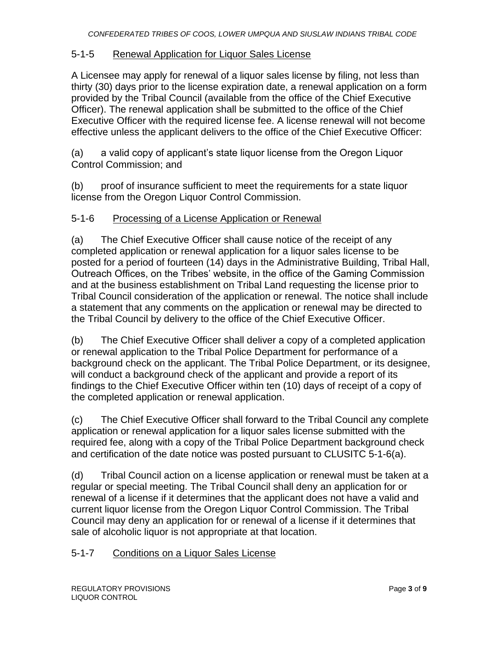### 5-1-5 Renewal Application for Liquor Sales License

A Licensee may apply for renewal of a liquor sales license by filing, not less than thirty (30) days prior to the license expiration date, a renewal application on a form provided by the Tribal Council (available from the office of the Chief Executive Officer). The renewal application shall be submitted to the office of the Chief Executive Officer with the required license fee. A license renewal will not become effective unless the applicant delivers to the office of the Chief Executive Officer:

(a) a valid copy of applicant's state liquor license from the Oregon Liquor Control Commission; and

(b) proof of insurance sufficient to meet the requirements for a state liquor license from the Oregon Liquor Control Commission.

### 5-1-6 Processing of a License Application or Renewal

(a) The Chief Executive Officer shall cause notice of the receipt of any completed application or renewal application for a liquor sales license to be posted for a period of fourteen (14) days in the Administrative Building, Tribal Hall, Outreach Offices, on the Tribes' website, in the office of the Gaming Commission and at the business establishment on Tribal Land requesting the license prior to Tribal Council consideration of the application or renewal. The notice shall include a statement that any comments on the application or renewal may be directed to the Tribal Council by delivery to the office of the Chief Executive Officer.

(b) The Chief Executive Officer shall deliver a copy of a completed application or renewal application to the Tribal Police Department for performance of a background check on the applicant. The Tribal Police Department, or its designee, will conduct a background check of the applicant and provide a report of its findings to the Chief Executive Officer within ten (10) days of receipt of a copy of the completed application or renewal application.

(c) The Chief Executive Officer shall forward to the Tribal Council any complete application or renewal application for a liquor sales license submitted with the required fee, along with a copy of the Tribal Police Department background check and certification of the date notice was posted pursuant to CLUSITC 5-1-6(a).

(d) Tribal Council action on a license application or renewal must be taken at a regular or special meeting. The Tribal Council shall deny an application for or renewal of a license if it determines that the applicant does not have a valid and current liquor license from the Oregon Liquor Control Commission. The Tribal Council may deny an application for or renewal of a license if it determines that sale of alcoholic liquor is not appropriate at that location.

### 5-1-7 Conditions on a Liquor Sales License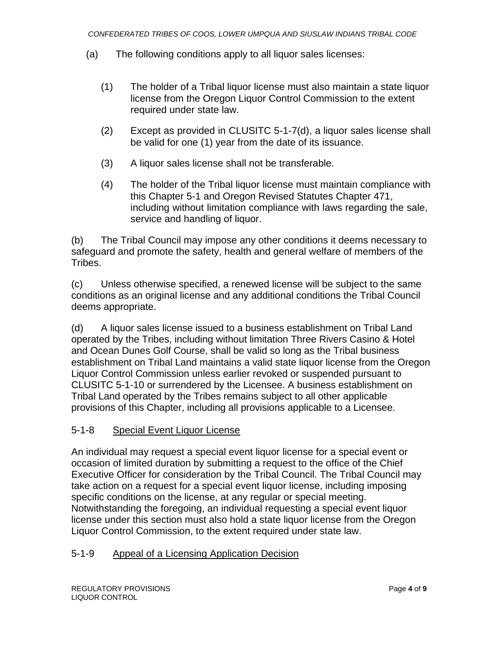- (a) The following conditions apply to all liquor sales licenses:
	- (1) The holder of a Tribal liquor license must also maintain a state liquor license from the Oregon Liquor Control Commission to the extent required under state law.
	- (2) Except as provided in CLUSITC 5-1-7(d), a liquor sales license shall be valid for one (1) year from the date of its issuance.
	- (3) A liquor sales license shall not be transferable.
	- (4) The holder of the Tribal liquor license must maintain compliance with this Chapter 5-1 and Oregon Revised Statutes Chapter 471, including without limitation compliance with laws regarding the sale, service and handling of liquor.

(b) The Tribal Council may impose any other conditions it deems necessary to safeguard and promote the safety, health and general welfare of members of the Tribes.

(c) Unless otherwise specified, a renewed license will be subject to the same conditions as an original license and any additional conditions the Tribal Council deems appropriate.

(d) A liquor sales license issued to a business establishment on Tribal Land operated by the Tribes, including without limitation Three Rivers Casino & Hotel and Ocean Dunes Golf Course, shall be valid so long as the Tribal business establishment on Tribal Land maintains a valid state liquor license from the Oregon Liquor Control Commission unless earlier revoked or suspended pursuant to CLUSITC 5-1-10 or surrendered by the Licensee. A business establishment on Tribal Land operated by the Tribes remains subject to all other applicable provisions of this Chapter, including all provisions applicable to a Licensee.

## 5-1-8 Special Event Liquor License

An individual may request a special event liquor license for a special event or occasion of limited duration by submitting a request to the office of the Chief Executive Officer for consideration by the Tribal Council. The Tribal Council may take action on a request for a special event liquor license, including imposing specific conditions on the license, at any regular or special meeting. Notwithstanding the foregoing, an individual requesting a special event liquor license under this section must also hold a state liquor license from the Oregon Liquor Control Commission, to the extent required under state law.

## 5-1-9 Appeal of a Licensing Application Decision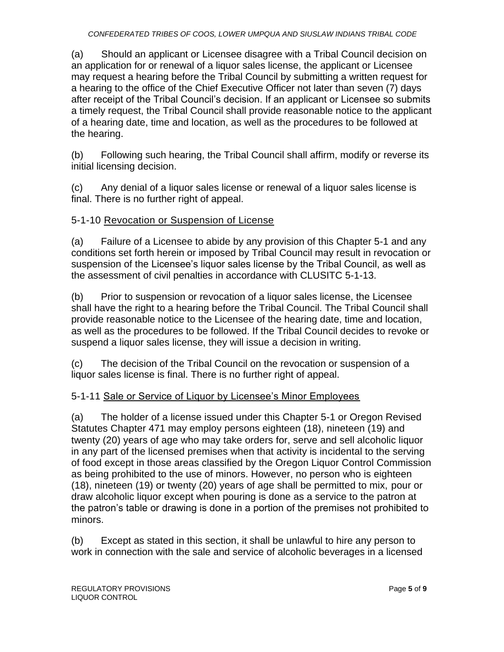(a) Should an applicant or Licensee disagree with a Tribal Council decision on an application for or renewal of a liquor sales license, the applicant or Licensee may request a hearing before the Tribal Council by submitting a written request for a hearing to the office of the Chief Executive Officer not later than seven (7) days after receipt of the Tribal Council's decision. If an applicant or Licensee so submits a timely request, the Tribal Council shall provide reasonable notice to the applicant of a hearing date, time and location, as well as the procedures to be followed at the hearing.

(b) Following such hearing, the Tribal Council shall affirm, modify or reverse its initial licensing decision.

(c) Any denial of a liquor sales license or renewal of a liquor sales license is final. There is no further right of appeal.

# 5-1-10 Revocation or Suspension of License

(a) Failure of a Licensee to abide by any provision of this Chapter 5-1 and any conditions set forth herein or imposed by Tribal Council may result in revocation or suspension of the Licensee's liquor sales license by the Tribal Council, as well as the assessment of civil penalties in accordance with CLUSITC 5-1-13.

(b) Prior to suspension or revocation of a liquor sales license, the Licensee shall have the right to a hearing before the Tribal Council. The Tribal Council shall provide reasonable notice to the Licensee of the hearing date, time and location, as well as the procedures to be followed. If the Tribal Council decides to revoke or suspend a liquor sales license, they will issue a decision in writing.

(c) The decision of the Tribal Council on the revocation or suspension of a liquor sales license is final. There is no further right of appeal.

# 5-1-11 Sale or Service of Liquor by Licensee's Minor Employees

(a) The holder of a license issued under this Chapter 5-1 or Oregon Revised Statutes Chapter 471 may employ persons eighteen (18), nineteen (19) and twenty (20) years of age who may take orders for, serve and sell alcoholic liquor in any part of the licensed premises when that activity is incidental to the serving of food except in those areas classified by the Oregon Liquor Control Commission as being prohibited to the use of minors. However, no person who is eighteen (18), nineteen (19) or twenty (20) years of age shall be permitted to mix, pour or draw alcoholic liquor except when pouring is done as a service to the patron at the patron's table or drawing is done in a portion of the premises not prohibited to minors.

(b) Except as stated in this section, it shall be unlawful to hire any person to work in connection with the sale and service of alcoholic beverages in a licensed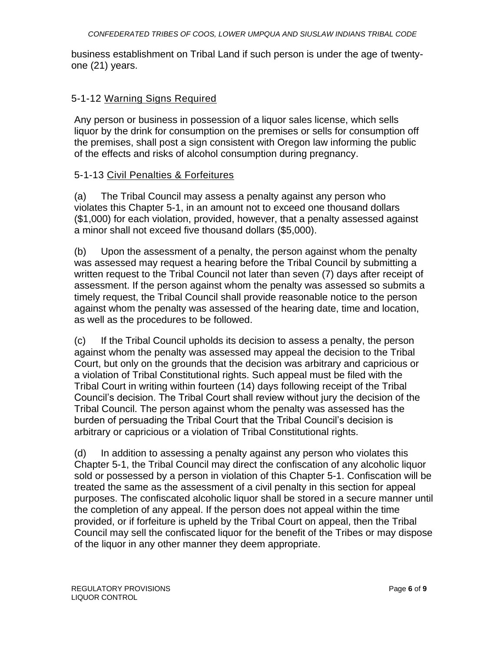business establishment on Tribal Land if such person is under the age of twentyone (21) years.

### 5-1-12 Warning Signs Required

Any person or business in possession of a liquor sales license, which sells liquor by the drink for consumption on the premises or sells for consumption off the premises, shall post a sign consistent with Oregon law informing the public of the effects and risks of alcohol consumption during pregnancy.

### 5-1-13 Civil Penalties & Forfeitures

(a) The Tribal Council may assess a penalty against any person who violates this Chapter 5-1, in an amount not to exceed one thousand dollars (\$1,000) for each violation, provided, however, that a penalty assessed against a minor shall not exceed five thousand dollars (\$5,000).

(b) Upon the assessment of a penalty, the person against whom the penalty was assessed may request a hearing before the Tribal Council by submitting a written request to the Tribal Council not later than seven (7) days after receipt of assessment. If the person against whom the penalty was assessed so submits a timely request, the Tribal Council shall provide reasonable notice to the person against whom the penalty was assessed of the hearing date, time and location, as well as the procedures to be followed.

(c) If the Tribal Council upholds its decision to assess a penalty, the person against whom the penalty was assessed may appeal the decision to the Tribal Court, but only on the grounds that the decision was arbitrary and capricious or a violation of Tribal Constitutional rights. Such appeal must be filed with the Tribal Court in writing within fourteen (14) days following receipt of the Tribal Council's decision. The Tribal Court shall review without jury the decision of the Tribal Council. The person against whom the penalty was assessed has the burden of persuading the Tribal Court that the Tribal Council's decision is arbitrary or capricious or a violation of Tribal Constitutional rights.

(d) In addition to assessing a penalty against any person who violates this Chapter 5-1, the Tribal Council may direct the confiscation of any alcoholic liquor sold or possessed by a person in violation of this Chapter 5-1. Confiscation will be treated the same as the assessment of a civil penalty in this section for appeal purposes. The confiscated alcoholic liquor shall be stored in a secure manner until the completion of any appeal. If the person does not appeal within the time provided, or if forfeiture is upheld by the Tribal Court on appeal, then the Tribal Council may sell the confiscated liquor for the benefit of the Tribes or may dispose of the liquor in any other manner they deem appropriate.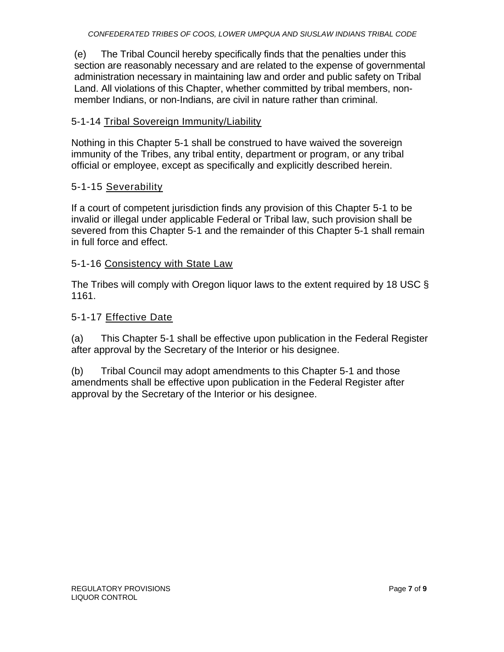(e) The Tribal Council hereby specifically finds that the penalties under this section are reasonably necessary and are related to the expense of governmental administration necessary in maintaining law and order and public safety on Tribal Land. All violations of this Chapter, whether committed by tribal members, nonmember Indians, or non-Indians, are civil in nature rather than criminal.

### 5-1-14 Tribal Sovereign Immunity/Liability

Nothing in this Chapter 5-1 shall be construed to have waived the sovereign immunity of the Tribes, any tribal entity, department or program, or any tribal official or employee, except as specifically and explicitly described herein.

### 5-1-15 Severability

If a court of competent jurisdiction finds any provision of this Chapter 5-1 to be invalid or illegal under applicable Federal or Tribal law, such provision shall be severed from this Chapter 5-1 and the remainder of this Chapter 5-1 shall remain in full force and effect.

### 5-1-16 Consistency with State Law

The Tribes will comply with Oregon liquor laws to the extent required by 18 USC § 1161.

### 5-1-17 Effective Date

(a) This Chapter 5-1 shall be effective upon publication in the Federal Register after approval by the Secretary of the Interior or his designee.

(b) Tribal Council may adopt amendments to this Chapter 5-1 and those amendments shall be effective upon publication in the Federal Register after approval by the Secretary of the Interior or his designee.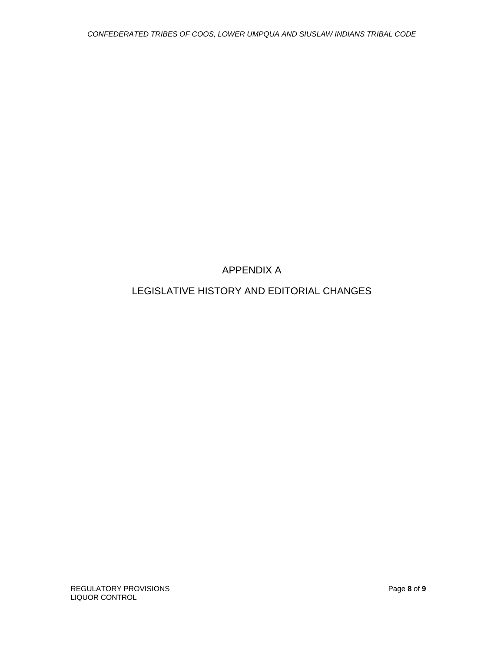# APPENDIX A

# LEGISLATIVE HISTORY AND EDITORIAL CHANGES